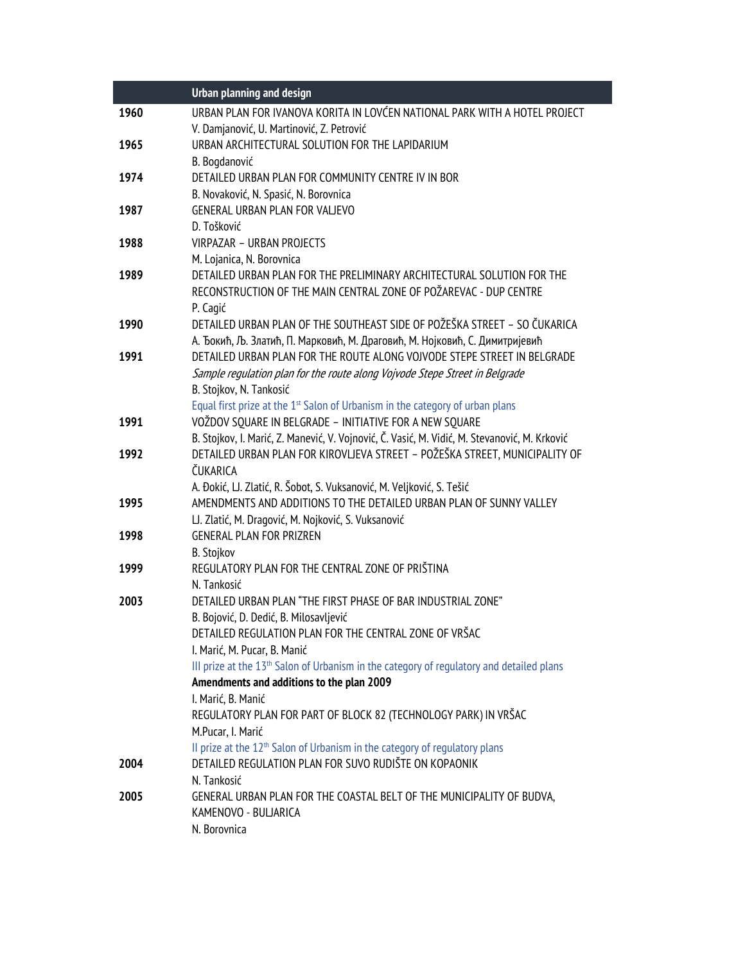|      | <b>Urban planning and design</b>                                                                     |
|------|------------------------------------------------------------------------------------------------------|
| 1960 | URBAN PLAN FOR IVANOVA KORITA IN LOVĆEN NATIONAL PARK WITH A HOTEL PROJECT                           |
|      | V. Damjanović, U. Martinović, Z. Petrović                                                            |
| 1965 | URBAN ARCHITECTURAL SOLUTION FOR THE LAPIDARIUM                                                      |
|      | B. Bogdanović                                                                                        |
| 1974 | DETAILED URBAN PLAN FOR COMMUNITY CENTRE IV IN BOR                                                   |
|      | B. Novaković, N. Spasić, N. Borovnica                                                                |
| 1987 | GENERAL URBAN PLAN FOR VALJEVO                                                                       |
|      | D. Tošković                                                                                          |
| 1988 | VIRPAZAR - URBAN PROJECTS                                                                            |
|      | M. Lojanica, N. Borovnica                                                                            |
| 1989 | DETAILED URBAN PLAN FOR THE PRELIMINARY ARCHITECTURAL SOLUTION FOR THE                               |
|      | RECONSTRUCTION OF THE MAIN CENTRAL ZONE OF POŽAREVAC - DUP CENTRE                                    |
|      | P. Cagić                                                                                             |
| 1990 | DETAILED URBAN PLAN OF THE SOUTHEAST SIDE OF POŽEŠKA STREET - SO ČUKARICA                            |
|      | А. Ђокић, Љ. Златић, П. Марковић, М. Драговић, М. Нојковић, С. Димитријевић                          |
| 1991 | DETAILED URBAN PLAN FOR THE ROUTE ALONG VOJVODE STEPE STREET IN BELGRADE                             |
|      | Sample regulation plan for the route along Vojvode Stepe Street in Belgrade                          |
|      | B. Stojkov, N. Tankosić                                                                              |
|      | Equal first prize at the 1 <sup>st</sup> Salon of Urbanism in the category of urban plans            |
| 1991 | VOŽDOV SOUARE IN BELGRADE - INITIATIVE FOR A NEW SOUARE                                              |
|      | B. Stojkov, I. Marić, Z. Manević, V. Vojnović, Č. Vasić, M. Vidić, M. Stevanović, M. Krković         |
| 1992 | DETAILED URBAN PLAN FOR KIROVLJEVA STREET - POŽEŠKA STREET, MUNICIPALITY OF                          |
|      | ČUKARICA                                                                                             |
|      | A. Đokić, LJ. Zlatić, R. Šobot, S. Vuksanović, M. Veljković, S. Tešić                                |
| 1995 | AMENDMENTS AND ADDITIONS TO THE DETAILED URBAN PLAN OF SUNNY VALLEY                                  |
|      | LJ. Zlatić, M. Dragović, M. Nojković, S. Vuksanović                                                  |
| 1998 | <b>GENERAL PLAN FOR PRIZREN</b>                                                                      |
|      | B. Stojkov                                                                                           |
| 1999 | REGULATORY PLAN FOR THE CENTRAL ZONE OF PRIŠTINA                                                     |
|      | N. Tankosić                                                                                          |
| 2003 | DETAILED URBAN PLAN "THE FIRST PHASE OF BAR INDUSTRIAL ZONE"                                         |
|      | B. Bojović, D. Dedić, B. Milosavljević<br>DETAILED REGULATION PLAN FOR THE CENTRAL ZONE OF VRŠAC     |
|      | I. Marić, M. Pucar, B. Manić                                                                         |
|      | III prize at the 13 <sup>th</sup> Salon of Urbanism in the category of regulatory and detailed plans |
|      | Amendments and additions to the plan 2009                                                            |
|      | I. Marić, B. Manić                                                                                   |
|      | REGULATORY PLAN FOR PART OF BLOCK 82 (TECHNOLOGY PARK) IN VRŠAC                                      |
|      | M.Pucar, I. Marić                                                                                    |
|      | II prize at the 12 <sup>th</sup> Salon of Urbanism in the category of regulatory plans               |
| 2004 | DETAILED REGULATION PLAN FOR SUVO RUDIŠTE ON KOPAONIK                                                |
|      | N. Tankosić                                                                                          |
| 2005 | GENERAL URBAN PLAN FOR THE COASTAL BELT OF THE MUNICIPALITY OF BUDVA,                                |
|      | KAMENOVO - BULJARICA                                                                                 |
|      | N. Borovnica                                                                                         |
|      |                                                                                                      |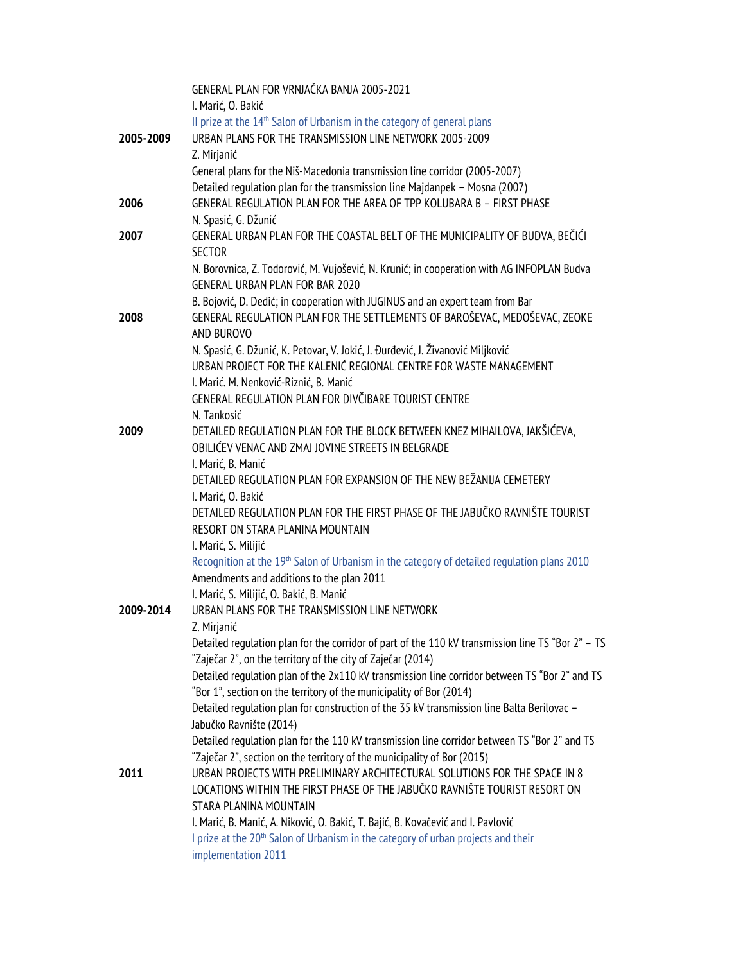|           | GENERAL PLAN FOR VRNJAČKA BANJA 2005-2021                                                                 |
|-----------|-----------------------------------------------------------------------------------------------------------|
|           | I. Marić, O. Bakić<br>II prize at the 14 <sup>th</sup> Salon of Urbanism in the category of general plans |
| 2005-2009 | URBAN PLANS FOR THE TRANSMISSION LINE NETWORK 2005-2009                                                   |
|           | Z. Mirjanić                                                                                               |
|           | General plans for the Niš-Macedonia transmission line corridor (2005-2007)                                |
|           | Detailed regulation plan for the transmission line Majdanpek - Mosna (2007)                               |
| 2006      | GENERAL REGULATION PLAN FOR THE AREA OF TPP KOLUBARA B - FIRST PHASE                                      |
|           | N. Spasić, G. Džunić                                                                                      |
| 2007      | GENERAL URBAN PLAN FOR THE COASTAL BELT OF THE MUNICIPALITY OF BUDVA, BEČIĆI                              |
|           | <b>SECTOR</b>                                                                                             |
|           | N. Borovnica, Z. Todorović, M. Vujošević, N. Krunić; in cooperation with AG INFOPLAN Budva                |
|           | <b>GENERAL URBAN PLAN FOR BAR 2020</b>                                                                    |
|           | B. Bojović, D. Dedić; in cooperation with JUGINUS and an expert team from Bar                             |
| 2008      | GENERAL REGULATION PLAN FOR THE SETTLEMENTS OF BAROŠEVAC, MEDOŠEVAC, ZEOKE                                |
|           | AND BUROVO                                                                                                |
|           | N. Spasić, G. Džunić, K. Petovar, V. Jokić, J. Đurđević, J. Živanović Miljković                           |
|           | URBAN PROJECT FOR THE KALENIĆ REGIONAL CENTRE FOR WASTE MANAGEMENT                                        |
|           | I. Marić. M. Nenković-Riznić, B. Manić                                                                    |
|           | GENERAL REGULATION PLAN FOR DIVČIBARE TOURIST CENTRE                                                      |
|           | N. Tankosić                                                                                               |
| 2009      | DETAILED REGULATION PLAN FOR THE BLOCK BETWEEN KNEZ MIHAILOVA, JAKŠIĆEVA,                                 |
|           | OBILIĆEV VENAC AND ZMAJ JOVINE STREETS IN BELGRADE                                                        |
|           | I. Marić, B. Manić                                                                                        |
|           | DETAILED REGULATION PLAN FOR EXPANSION OF THE NEW BEŽANIJA CEMETERY                                       |
|           | I. Marić, O. Bakić                                                                                        |
|           | DETAILED REGULATION PLAN FOR THE FIRST PHASE OF THE JABUČKO RAVNIŠTE TOURIST                              |
|           | RESORT ON STARA PLANINA MOUNTAIN<br>I. Marić, S. Milijić                                                  |
|           | Recognition at the 19th Salon of Urbanism in the category of detailed regulation plans 2010               |
|           | Amendments and additions to the plan 2011                                                                 |
|           | I. Marić, S. Milijić, O. Bakić, B. Manić                                                                  |
| 2009-2014 | URBAN PLANS FOR THE TRANSMISSION LINE NETWORK                                                             |
|           | Z. Mirjanić                                                                                               |
|           | Detailed regulation plan for the corridor of part of the 110 kV transmission line TS "Bor 2" - TS         |
|           | "Zaječar 2", on the territory of the city of Zaječar (2014)                                               |
|           | Detailed regulation plan of the 2x110 kV transmission line corridor between TS "Bor 2" and TS             |
|           | "Bor 1", section on the territory of the municipality of Bor (2014)                                       |
|           | Detailed regulation plan for construction of the 35 kV transmission line Balta Berilovac -                |
|           | Jabučko Ravnište (2014)                                                                                   |
|           | Detailed regulation plan for the 110 kV transmission line corridor between TS "Bor 2" and TS              |
|           | "Zaječar 2", section on the territory of the municipality of Bor (2015)                                   |
| 2011      | URBAN PROJECTS WITH PRELIMINARY ARCHITECTURAL SOLUTIONS FOR THE SPACE IN 8                                |
|           | LOCATIONS WITHIN THE FIRST PHASE OF THE JABUČKO RAVNIŠTE TOURIST RESORT ON                                |
|           | STARA PLANINA MOUNTAIN                                                                                    |
|           | I. Marić, B. Manić, A. Niković, O. Bakić, T. Bajić, B. Kovačević and I. Pavlović                          |
|           | I prize at the 20 <sup>th</sup> Salon of Urbanism in the category of urban projects and their             |
|           | implementation 2011                                                                                       |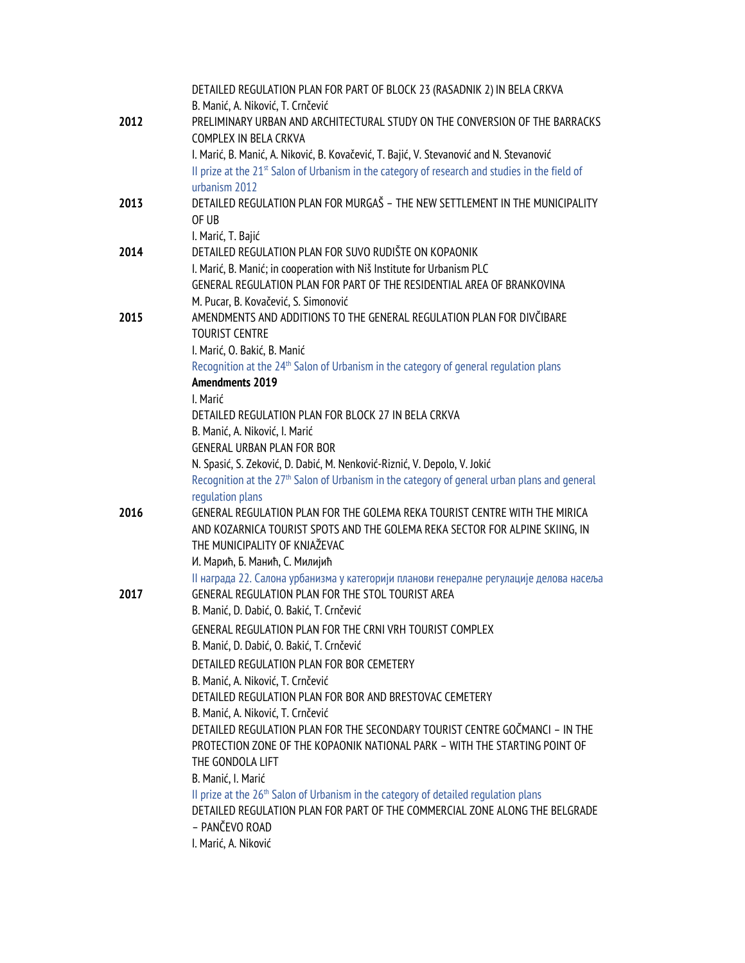|      | DETAILED REGULATION PLAN FOR PART OF BLOCK 23 (RASADNIK 2) IN BELA CRKVA                                                                     |
|------|----------------------------------------------------------------------------------------------------------------------------------------------|
|      | B. Manić, A. Niković, T. Crnčević                                                                                                            |
| 2012 | PRELIMINARY URBAN AND ARCHITECTURAL STUDY ON THE CONVERSION OF THE BARRACKS                                                                  |
|      | COMPLEX IN BELA CRKVA                                                                                                                        |
|      | I. Marić, B. Manić, A. Niković, B. Kovačević, T. Bajić, V. Stevanović and N. Stevanović                                                      |
|      | II prize at the 21 <sup>st</sup> Salon of Urbanism in the category of research and studies in the field of                                   |
|      | urbanism 2012                                                                                                                                |
| 2013 | DETAILED REGULATION PLAN FOR MURGAŠ - THE NEW SETTLEMENT IN THE MUNICIPALITY                                                                 |
|      | OF UB                                                                                                                                        |
|      | I. Marić, T. Bajić                                                                                                                           |
| 2014 | DETAILED REGULATION PLAN FOR SUVO RUDIŠTE ON KOPAONIK                                                                                        |
|      | I. Marić, B. Manić; in cooperation with Niš Institute for Urbanism PLC                                                                       |
|      | GENERAL REGULATION PLAN FOR PART OF THE RESIDENTIAL AREA OF BRANKOVINA                                                                       |
|      | M. Pucar, B. Kovačević, S. Simonović                                                                                                         |
| 2015 | AMENDMENTS AND ADDITIONS TO THE GENERAL REGULATION PLAN FOR DIVČIBARE                                                                        |
|      | <b>TOURIST CENTRE</b>                                                                                                                        |
|      | I. Marić, O. Bakić, B. Manić                                                                                                                 |
|      | Recognition at the 24 <sup>th</sup> Salon of Urbanism in the category of general regulation plans                                            |
|      | <b>Amendments 2019</b>                                                                                                                       |
|      | I. Marić                                                                                                                                     |
|      | DETAILED REGULATION PLAN FOR BLOCK 27 IN BELA CRKVA                                                                                          |
|      | B. Manić, A. Niković, I. Marić                                                                                                               |
|      | <b>GENERAL URBAN PLAN FOR BOR</b>                                                                                                            |
|      | N. Spasić, S. Zeković, D. Dabić, M. Nenković-Riznić, V. Depolo, V. Jokić                                                                     |
|      | Recognition at the 27 <sup>th</sup> Salon of Urbanism in the category of general urban plans and general                                     |
|      | regulation plans                                                                                                                             |
| 2016 | GENERAL REGULATION PLAN FOR THE GOLEMA REKA TOURIST CENTRE WITH THE MIRICA                                                                   |
|      | AND KOZARNICA TOURIST SPOTS AND THE GOLEMA REKA SECTOR FOR ALPINE SKIING, IN                                                                 |
|      | THE MUNICIPALITY OF KNJAŽEVAC                                                                                                                |
|      | И. Марић, Б. Манић, С. Милијић                                                                                                               |
| 2017 | II награда 22. Салона урбанизма у категорији планови генералне регулације делова насеља<br>GENERAL REGULATION PLAN FOR THE STOL TOURIST AREA |
|      | B. Manić, D. Dabić, O. Bakić, T. Crnčević                                                                                                    |
|      |                                                                                                                                              |
|      | GENERAL REGULATION PLAN FOR THE CRNI VRH TOURIST COMPLEX                                                                                     |
|      | B. Manić, D. Dabić, O. Bakić, T. Crnčević                                                                                                    |
|      | DETAILED REGULATION PLAN FOR BOR CEMETERY                                                                                                    |
|      | B. Manić, A. Niković, T. Crnčević<br>DETAILED REGULATION PLAN FOR BOR AND BRESTOVAC CEMETERY                                                 |
|      | B. Manić, A. Niković, T. Crnčević                                                                                                            |
|      | DETAILED REGULATION PLAN FOR THE SECONDARY TOURIST CENTRE GOČMANCI - IN THE                                                                  |
|      | PROTECTION ZONE OF THE KOPAONIK NATIONAL PARK - WITH THE STARTING POINT OF                                                                   |
|      | THE GONDOLA LIFT                                                                                                                             |
|      | B. Manić, I. Marić                                                                                                                           |
|      | II prize at the 26 <sup>th</sup> Salon of Urbanism in the category of detailed regulation plans                                              |
|      | DETAILED REGULATION PLAN FOR PART OF THE COMMERCIAL ZONE ALONG THE BELGRADE                                                                  |
|      | - PANČEVO ROAD                                                                                                                               |
|      | I. Marić, A. Niković                                                                                                                         |
|      |                                                                                                                                              |